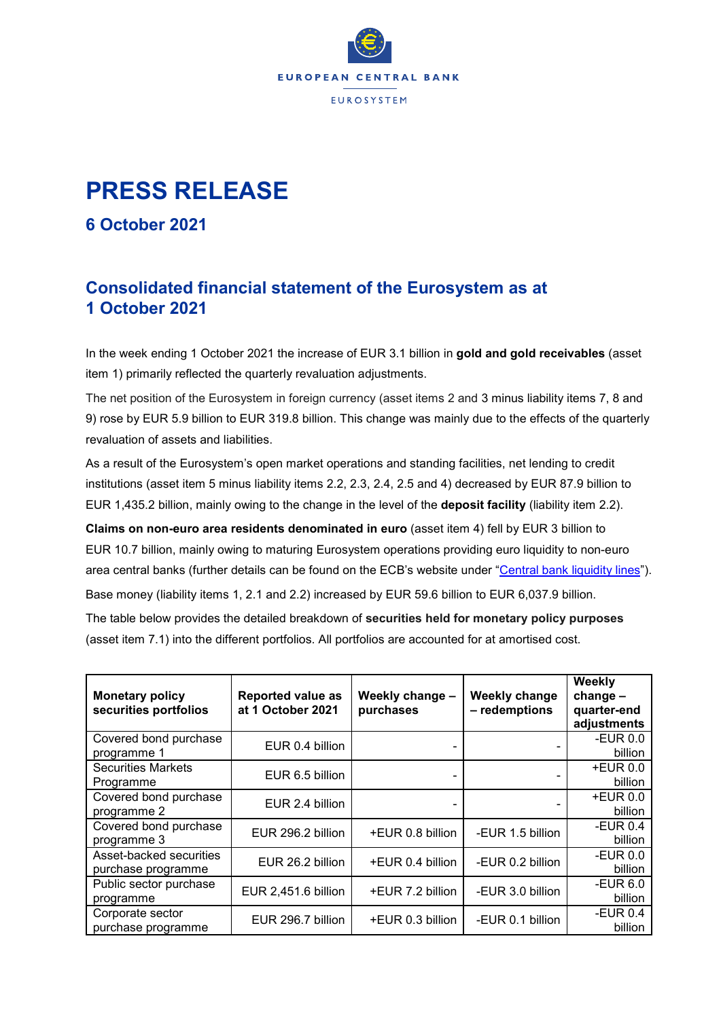

## **PRESS RELEASE**

**6 October 2021**

## **Consolidated financial statement of the Eurosystem as at 1 October 2021**

In the week ending 1 October 2021 the increase of EUR 3.1 billion in **gold and gold receivables** (asset item 1) primarily reflected the quarterly revaluation adjustments.

The net position of the Eurosystem in foreign currency (asset items 2 and 3 minus liability items 7, 8 and 9) rose by EUR 5.9 billion to EUR 319.8 billion. This change was mainly due to the effects of the quarterly revaluation of assets and liabilities.

As a result of the Eurosystem's open market operations and standing facilities, net lending to credit institutions (asset item 5 minus liability items 2.2, 2.3, 2.4, 2.5 and 4) decreased by EUR 87.9 billion to EUR 1,435.2 billion, mainly owing to the change in the level of the **deposit facility** (liability item 2.2).

**Claims on non-euro area residents denominated in euro** (asset item 4) fell by EUR 3 billion to EUR 10.7 billion, mainly owing to maturing Eurosystem operations providing euro liquidity to non-euro area central banks (further details can be found on the ECB's website under ["Central bank liquidity lines"](https://www.ecb.europa.eu/mopo/implement/liquidity_lines/html/index.en.html)). Base money (liability items 1, 2.1 and 2.2) increased by EUR 59.6 billion to EUR 6,037.9 billion.

The table below provides the detailed breakdown of **securities held for monetary policy purposes** (asset item 7.1) into the different portfolios. All portfolios are accounted for at amortised cost.

| <b>Monetary policy</b><br>securities portfolios | <b>Reported value as</b><br>at 1 October 2021 | Weekly change -<br>purchases | <b>Weekly change</b><br>- redemptions | Weekly<br>$change -$<br>quarter-end<br>adjustments |
|-------------------------------------------------|-----------------------------------------------|------------------------------|---------------------------------------|----------------------------------------------------|
| Covered bond purchase<br>programme 1            | EUR 0.4 billion                               |                              |                                       | -EUR $0.0$<br>billion                              |
| <b>Securities Markets</b><br>Programme          | EUR 6.5 billion                               |                              |                                       | $+EUR$ 0.0<br>billion                              |
| Covered bond purchase<br>programme 2            | EUR 2.4 billion                               |                              |                                       | +EUR 0.0<br>billion                                |
| Covered bond purchase<br>programme 3            | EUR 296.2 billion                             | +EUR 0.8 billion             | -EUR 1.5 billion                      | -EUR $0.4$<br>billion                              |
| Asset-backed securities<br>purchase programme   | EUR 26.2 billion                              | +EUR 0.4 billion             | -EUR 0.2 billion                      | -EUR $0.0$<br>billion                              |
| Public sector purchase<br>programme             | EUR 2,451.6 billion                           | +EUR 7.2 billion             | -EUR 3.0 billion                      | -EUR $6.0$<br>billion                              |
| Corporate sector<br>purchase programme          | EUR 296.7 billion                             | +EUR 0.3 billion             | -EUR 0.1 billion                      | -EUR $0.4$<br>billion                              |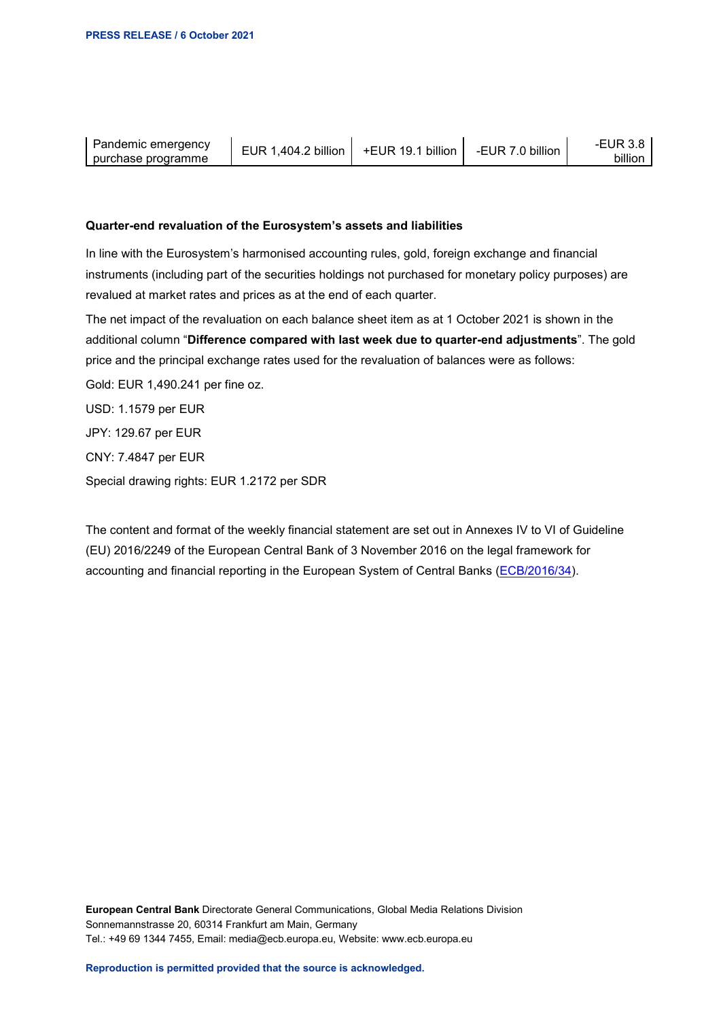| Pandemic emergency<br>purchase programme | 2 billion<br>$^{\prime}$ 404.4<br><b>IR</b> | billion | billion<br>-FUR. | oillior |
|------------------------------------------|---------------------------------------------|---------|------------------|---------|
|                                          |                                             |         |                  |         |

## **Quarter-end revaluation of the Eurosystem's assets and liabilities**

In line with the Eurosystem's harmonised accounting rules, gold, foreign exchange and financial instruments (including part of the securities holdings not purchased for monetary policy purposes) are revalued at market rates and prices as at the end of each quarter.

The net impact of the revaluation on each balance sheet item as at 1 October 2021 is shown in the additional column "**Difference compared with last week due to quarter-end adjustments**". The gold price and the principal exchange rates used for the revaluation of balances were as follows:

Gold: EUR 1,490.241 per fine oz.

USD: 1.1579 per EUR

JPY: 129.67 per EUR

CNY: 7.4847 per EUR

Special drawing rights: EUR 1.2172 per SDR

The content and format of the weekly financial statement are set out in Annexes IV to VI of Guideline (EU) 2016/2249 of the European Central Bank of 3 November 2016 on the legal framework for accounting and financial reporting in the European System of Central Banks [\(ECB/2016/34\)](https://eur-lex.europa.eu/legal-content/EN/TXT/?qid=1599130224518&uri=CELEX:32016O0034).

**European Central Bank** Directorate General Communications, Global Media Relations Division Sonnemannstrasse 20, 60314 Frankfurt am Main, Germany Tel.: +49 69 1344 7455, Email: media@ecb.europa.eu, Website: www.ecb.europa.eu